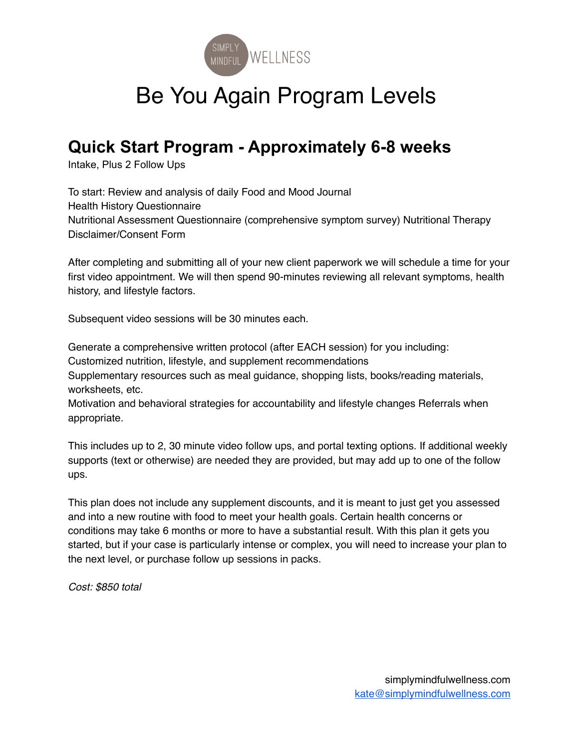

# Be You Again Program Levels

### **Quick Start Program - Approximately 6-8 weeks**

Intake, Plus 2 Follow Ups

To start: Review and analysis of daily Food and Mood Journal Health History Questionnaire Nutritional Assessment Questionnaire (comprehensive symptom survey) Nutritional Therapy Disclaimer/Consent Form

After completing and submitting all of your new client paperwork we will schedule a time for your first video appointment. We will then spend 90-minutes reviewing all relevant symptoms, health history, and lifestyle factors.

Subsequent video sessions will be 30 minutes each.

Generate a comprehensive written protocol (after EACH session) for you including: Customized nutrition, lifestyle, and supplement recommendations Supplementary resources such as meal guidance, shopping lists, books/reading materials, worksheets, etc.

Motivation and behavioral strategies for accountability and lifestyle changes Referrals when appropriate.

This includes up to 2, 30 minute video follow ups, and portal texting options. If additional weekly supports (text or otherwise) are needed they are provided, but may add up to one of the follow ups.

This plan does not include any supplement discounts, and it is meant to just get you assessed and into a new routine with food to meet your health goals. Certain health concerns or conditions may take 6 months or more to have a substantial result. With this plan it gets you started, but if your case is particularly intense or complex, you will need to increase your plan to the next level, or purchase follow up sessions in packs.

*Cost: \$850 total*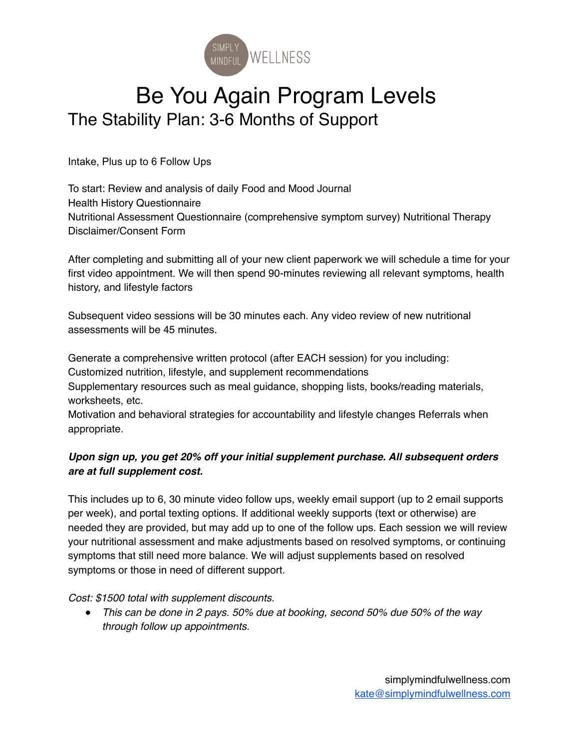

## Be You Again Program Levels The Stability Plan: 3-6 Months of Support

Intake, Plus up to 6 Follow Ups

To start: Review and analysis of daily Food and Mood Journal Health History Questionnaire Nutritional Assessment Questionnaire (comprehensive symptom survey) Nutritional Therapy Disclaimer/Consent Form

After completing and submitting all of your new client paperwork we will schedule a time for your first video appointment. We will then spend 90-minutes reviewing all relevant symptoms, health history, and lifestyle factors

Subsequent video sessions will be 30 minutes each. Any video review of new nutritional assessments will be 45 minutes.

Generate a comprehensive written protocol (after EACH session) for you including:

Customized nutrition, lifestyle, and supplement recommendations

Supplementary resources such as meal guidance, shopping lists, books/reading materials, worksheets, etc.

Motivation and behavioral strategies for accountability and lifestyle changes Referrals when appropriate.

#### *Upon sign up, you get 20% off your initial supplement purchase. All subsequent orders are at full supplement cost.*

This includes up to 6, 30 minute video follow ups, weekly email support (up to 2 email supports per week), and portal texting options. If additional weekly supports (text or otherwise) are needed they are provided, but may add up to one of the follow ups. Each session we will review your nutritional assessment and make adjustments based on resolved symptoms, or continuing symptoms that still need more balance. We will adjust supplements based on resolved symptoms or those in need of different support.

*Cost: \$1500 total with supplement discounts.* 

● *This can be done in 2 pays. 50% due at booking, second 50% due 50% of the way through follow up appointments.*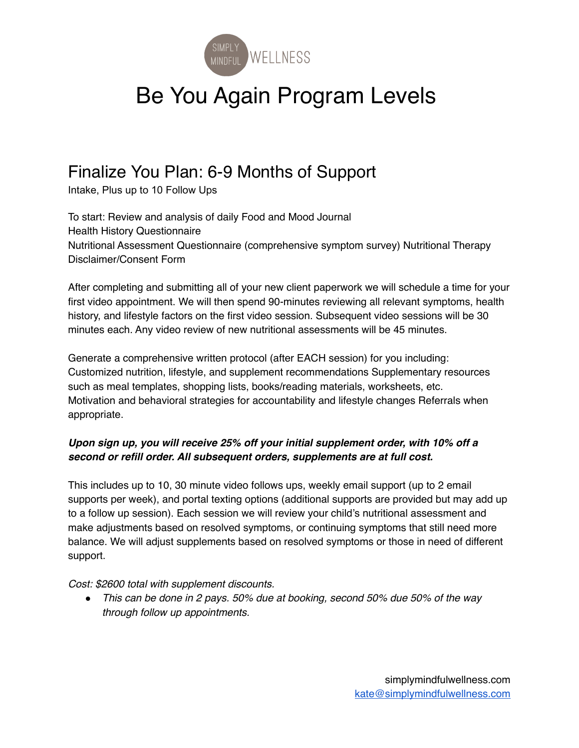

# Be You Again Program Levels

### Finalize You Plan: 6-9 Months of Support

Intake, Plus up to 10 Follow Ups

To start: Review and analysis of daily Food and Mood Journal Health History Questionnaire Nutritional Assessment Questionnaire (comprehensive symptom survey) Nutritional Therapy Disclaimer/Consent Form

After completing and submitting all of your new client paperwork we will schedule a time for your first video appointment. We will then spend 90-minutes reviewing all relevant symptoms, health history, and lifestyle factors on the first video session. Subsequent video sessions will be 30 minutes each. Any video review of new nutritional assessments will be 45 minutes.

Generate a comprehensive written protocol (after EACH session) for you including: Customized nutrition, lifestyle, and supplement recommendations Supplementary resources such as meal templates, shopping lists, books/reading materials, worksheets, etc. Motivation and behavioral strategies for accountability and lifestyle changes Referrals when appropriate.

#### *Upon sign up, you will receive 25% off your initial supplement order, with 10% off a second or refill order. All subsequent orders, supplements are at full cost.*

This includes up to 10, 30 minute video follows ups, weekly email support (up to 2 email supports per week), and portal texting options (additional supports are provided but may add up to a follow up session). Each session we will review your child's nutritional assessment and make adjustments based on resolved symptoms, or continuing symptoms that still need more balance. We will adjust supplements based on resolved symptoms or those in need of different support.

*Cost: \$2600 total with supplement discounts.* 

● *This can be done in 2 pays. 50% due at booking, second 50% due 50% of the way through follow up appointments.*